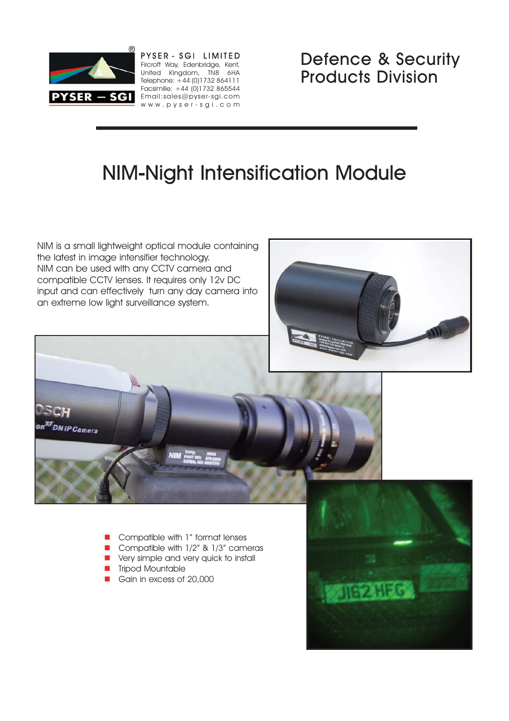

PYSER - SGI LIMITED Fircroft Way, Edenbridge, Kent, United Kingdom, TN8 6HA Telephone: +44 (0)1732 864111 Facsimilie: +44 (0)1732 865544 PYSER - SGI Email:sales@pyser-sgi.com www.pyser-sgi.com

Defence & Security Products Division

# NIM-Night Intensification Module

NIM is a small lightweight optical module containing the latest in image intensifier technology. NIM can be used with any CCTV camera and compatible CCTV lenses. It requires only 12v DC input and can effectively turn any day camera into an extreme low light surveillance system.





- -Compatible with 1" format lenses
- -Compatible with 1/2" & 1/3" cameras
- **E** Very simple and very quick to install
- **Tripod Mountable**
- -Gain in excess of 20,000